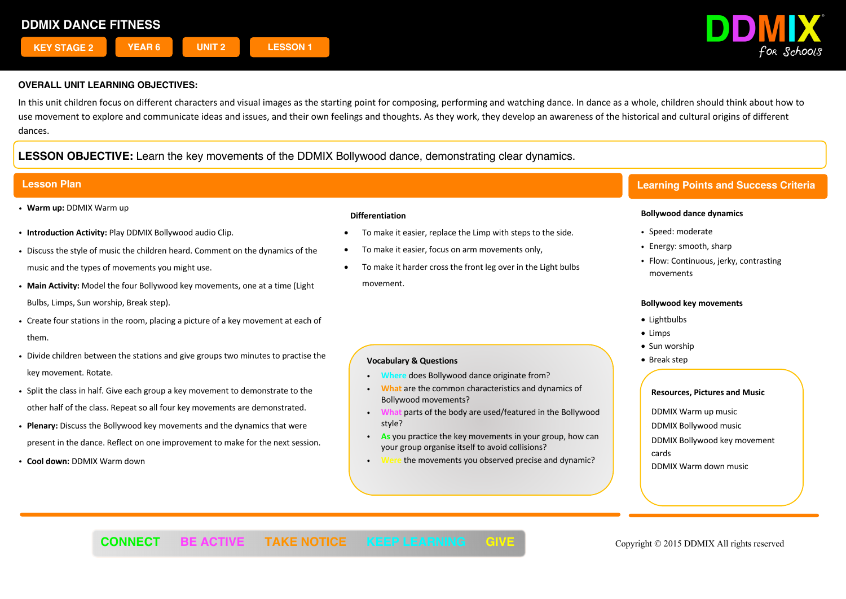

In this unit children focus on different characters and visual images as the starting point for composing, performing and watching dance. In dance as a whole, children should think about how to use movement to explore and communicate ideas and issues, and their own feelings and thoughts. As they work, they develop an awareness of the historical and cultural origins of different dances.

# **LESSON OBJECTIVE:** Learn the key movements of the DDMIX Bollywood dance, demonstrating clear dynamics.

- ! **Warm up:** DDMIX Warm up
- ! **Introduction Activity:** Play DDMIX Bollywood audio Clip.
- ! Discuss the style of music the children heard. Comment on the dynamics of the music and the types of movements you might use.
- ! **Main Activity:** Model the four Bollywood key movements, one at a time (Light Bulbs, Limps, Sun worship, Break step).
- ! Create four stations in the room, placing a picture of a key movement at each of them.
- ! Divide children between the stations and give groups two minutes to practise the key movement. Rotate.
- ! Split the class in half. Give each group a key movement to demonstrate to the other half of the class. Repeat so all four key movements are demonstrated.
- ! **Plenary:** Discuss the Bollywood key movements and the dynamics that were present in the dance. Reflect on one improvement to make for the next session.
- ! **Cool down:** DDMIX Warm down

## **Differentiation**

- To make it easier, replace the Limp with steps to the side.
- To make it easier, focus on arm movements only,
- To make it harder cross the front leg over in the Light bulbs movement.

# **Vocabulary & Questions**

- **does Bollywood dance originate from?**
- ! **What** are the common characteristics and dynamics of Bollywood movements?
- ! **What** parts of the body are used/featured in the Bollywood style?
- ! **As** you practice the key movements in your group, how can your group organise itself to avoid collisions?
- ! **Were** the movements you observed precise and dynamic?

# **Lesson Plan Learning Points and Success Criteria**

## **Bollywood dance dynamics**

- Speed: moderate
- Energy: smooth, sharp
- Flow: Continuous, jerky, contrasting movements

### **Bollywood key movements**

- Lightbulbs
- Limps
- Sun worship
- Break step

- ! DDMIX Warm up music
- ! DDMIX Bollywood music
- ! DDMIX Bollywood key movement cards
- DDMIX Warm down music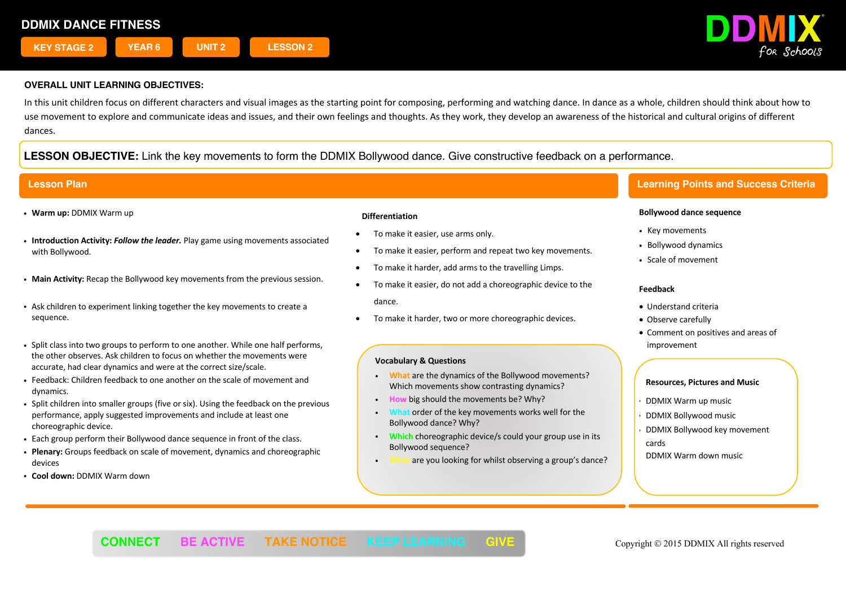

In this unit children focus on different characters and visual images as the starting point for composing, performing and watching dance. In dance as a whole, children should think about how to use movement to explore and communicate ideas and issues, and their own feelings and thoughts. As they work, they develop an awareness of the historical and cultural origins of different dances.

# **LESSON OBJECTIVE:** Link the key movements to form the DDMIX Bollywood dance. Give constructive feedback on a performance.

- ! **Warm up:** DDMIX Warm up
- ! **Introduction Activity:** *Follow the leader.* Play game using movements associated with Bollywood.
- ! **Main Activity:** Recap the Bollywood key movements from the previous session.
- ! Ask children to experiment linking together the key movements to create a sequence.
- ! Split class into two groups to perform to one another. While one half performs, the other observes. Ask children to focus on whether the movements were accurate, had clear dynamics and were at the correct size/scale.
- ! Feedback: Children feedback to one another on the scale of movement and dynamics.
- ! Split children into smaller groups (five or six). Using the feedback on the previous performance, apply suggested improvements and include at least one choreographic device.
- . Each group perform their Bollywood dance sequence in front of the class.
- ! **Plenary:** Groups feedback on scale of movement, dynamics and choreographic devices
- ! **Cool down:** DDMIX Warm down

### **Differentiation**

- To make it easier, use arms only.
- To make it easier, perform and repeat two key movements.
- To make it harder, add arms to the travelling Limps.
- To make it easier, do not add a choreographic device to the dance.
- To make it harder, two or more choreographic devices.

### **Vocabulary & Questions**

- ! **What** are the dynamics of the Bollywood movements? Which movements show contrasting dynamics?
- ! **How** big should the movements be? Why?
- ! **What** order of the key movements works well for the Bollywood dance? Why?
- ! **Which** choreographic device/s could your group use in its Bollywood sequence?
- ! **What** are you looking for whilst observing a group's dance?

# **Lesson Plan Learning Points and Success Criteria**

### **Bollywood dance sequence**

- Key movements
- ! Bollywood dynamics
- ! Scale of movement

### **Feedback**

- Understand criteria
- Observe carefully
- Comment on positives and areas of improvement

- ! DDMIX Warm up music
- ! DDMIX Bollywood music
- ! DDMIX Bollywood key movement cards
- DDMIX Warm down music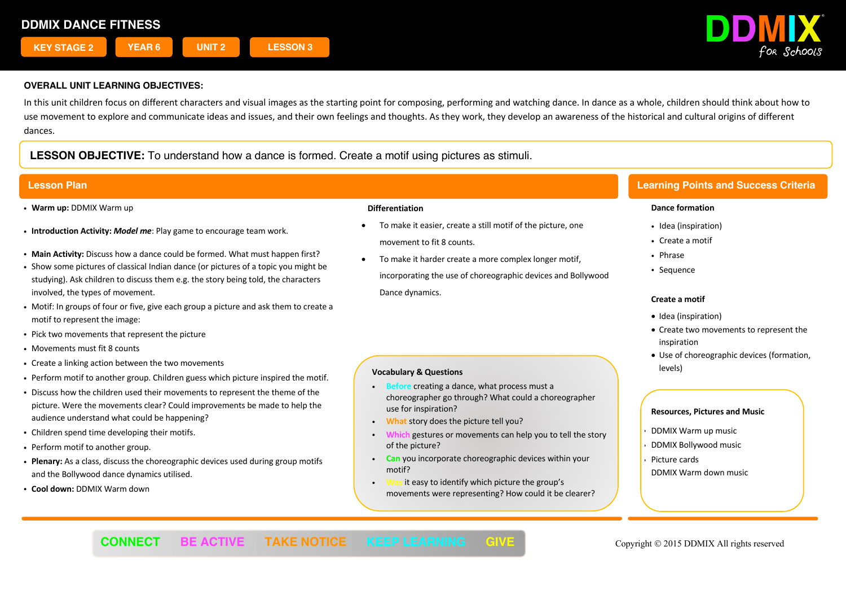

In this unit children focus on different characters and visual images as the starting point for composing, performing and watching dance. In dance as a whole, children should think about how to use movement to explore and communicate ideas and issues, and their own feelings and thoughts. As they work, they develop an awareness of the historical and cultural origins of different dances.

# **LESSON OBJECTIVE:** To understand how a dance is formed. Create a motif using pictures as stimuli.

- ! **Warm up:** DDMIX Warm up
- ! **Introduction Activity:** *Model me*: Play game to encourage team work.
- ! **Main Activity:** Discuss how a dance could be formed. What must happen first?
- ! Show some pictures of classical Indian dance (or pictures of a topic you might be studying). Ask children to discuss them e.g. the story being told, the characters involved, the types of movement.
- ! Motif: In groups of four or five, give each group a picture and ask them to create a motif to represent the image:
- ! Pick two movements that represent the picture
- Movements must fit 8 counts
- . Create a linking action between the two movements
- ! Perform motif to another group. Children guess which picture inspired the motif.
- ! Discuss how the children used their movements to represent the theme of the picture. Were the movements clear? Could improvements be made to help the audience understand what could be happening?
- ! Children spend time developing their motifs.
- Perform motif to another group.
- ! **Plenary:** As a class, discuss the choreographic devices used during group motifs and the Bollywood dance dynamics utilised.
- ! **Cool down:** DDMIX Warm down

### **Differentiation**

- To make it easier, create a still motif of the picture, one movement to fit 8 counts.
- To make it harder create a more complex longer motif, incorporating the use of choreographic devices and Bollywood Dance dynamics.

# **Vocabulary & Questions**

- ! **Before** creating a dance, what process must a choreographer go through? What could a choreographer use for inspiration?
- ! **What** story does the picture tell you?
- gestures or movements can help you to tell the story of the picture?
- ! **Can** you incorporate choreographic devices within your motif?
- it easy to identify which picture the group's movements were representing? How could it be clearer?

# **Lesson Plan Learning Points and Success Criteria**

## **Dance formation**

- Idea (inspiration)
- ! Create a motif
- ! Phrase
- Sequence

## **Create a motif**

- Idea (inspiration)
- Create two movements to represent the inspiration
- Use of choreographic devices (formation, levels)

- ! DDMIX Warm up music
- ! DDMIX Bollywood music
- Picture cards
- DDMIX Warm down music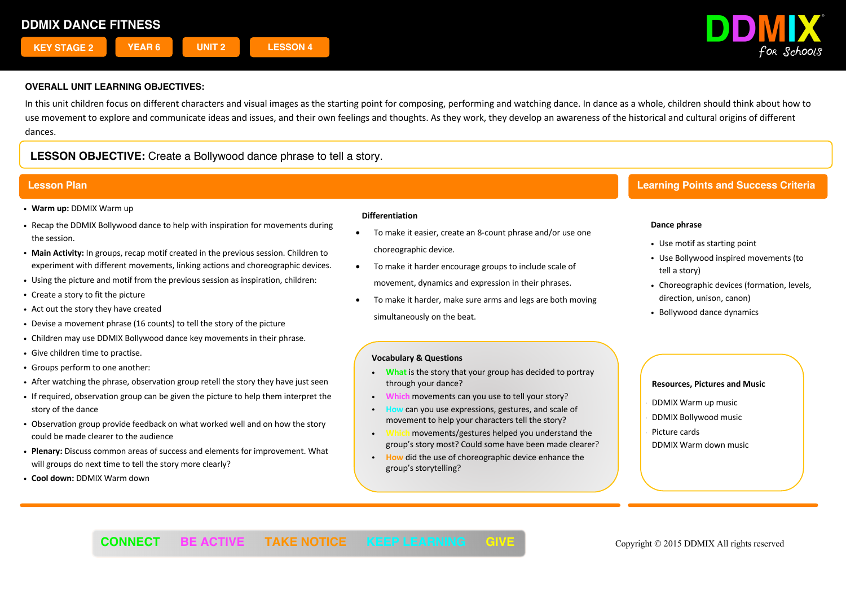

In this unit children focus on different characters and visual images as the starting point for composing, performing and watching dance. In dance as a whole, children should think about how to use movement to explore and communicate ideas and issues, and their own feelings and thoughts. As they work, they develop an awareness of the historical and cultural origins of different dances.

# **LESSON OBJECTIVE:** Create a Bollywood dance phrase to tell a story.

- ! **Warm up:** DDMIX Warm up
- ! Recap the DDMIX Bollywood dance to help with inspiration for movements during the session.
- ! **Main Activity:** In groups, recap motif created in the previous session. Children to experiment with different movements, linking actions and choreographic devices.
- ! Using the picture and motif from the previous session as inspiration, children:
- Create a story to fit the picture
- Act out the story they have created
- ! Devise a movement phrase (16 counts) to tell the story of the picture
- ! Children may use DDMIX Bollywood dance key movements in their phrase.
- Give children time to practise.
- ! Groups perform to one another:
- ! After watching the phrase, observation group retell the story they have just seen
- ! If required, observation group can be given the picture to help them interpret the story of the dance
- ! Observation group provide feedback on what worked well and on how the story could be made clearer to the audience
- ! **Plenary:** Discuss common areas of success and elements for improvement. What will groups do next time to tell the story more clearly?
- ! **Cool down:** DDMIX Warm down

### **Differentiation**

- To make it easier, create an 8-count phrase and/or use one choreographic device.
- To make it harder encourage groups to include scale of movement, dynamics and expression in their phrases.
- To make it harder, make sure arms and legs are both moving simultaneously on the beat.

# **Lesson Plan Learning Points and Success Criteria**

## **Dance phrase**

- Use motif as starting point
- ! Use Bollywood inspired movements (to tell a story)
- . Choreographic devices (formation, levels, direction, unison, canon)
- Bollywood dance dynamics

## **Vocabulary & Questions**

- ! **What** is the story that your group has decided to portray through your dance?
- ! **Which** movements can you use to tell your story?
- **Can you use expressions, gestures, and scale of** movement to help your characters tell the story?
- movements/gestures helped you understand the group's story most? Could some have been made clearer?
- ! **How** did the use of choreographic device enhance the group's storytelling?

- ! DDMIX Warm up music
- ! DDMIX Bollywood music
- Picture cards DDMIX Warm down music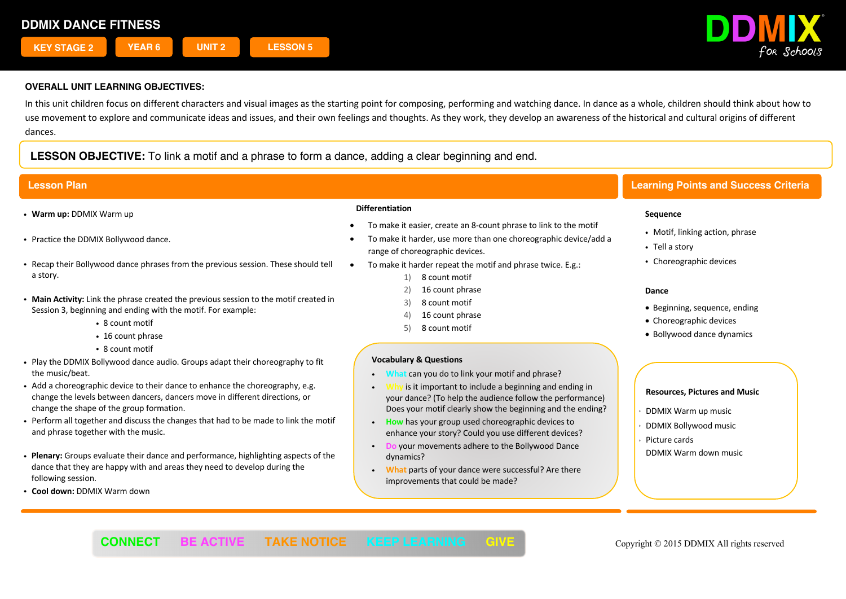

In this unit children focus on different characters and visual images as the starting point for composing, performing and watching dance. In dance as a whole, children should think about how to use movement to explore and communicate ideas and issues, and their own feelings and thoughts. As they work, they develop an awareness of the historical and cultural origins of different dances.

**LESSON OBJECTIVE:** To link a motif and a phrase to form a dance, adding a clear beginning and end.

- ! **Warm up:** DDMIX Warm up
- Practice the DDMIX Bollywood dance.
- ! Recap their Bollywood dance phrases from the previous session. These should tell a story.
- ! **Main Activity:** Link the phrase created the previous session to the motif created in Session 3, beginning and ending with the motif. For example:
	- 8 count motif
	- 16 count phrase
	- 8 count motif
- ! Play the DDMIX Bollywood dance audio. Groups adapt their choreography to fit the music/beat.
- . Add a choreographic device to their dance to enhance the choreography, e.g. change the levels between dancers, dancers move in different directions, or change the shape of the group formation.
- ! Perform all together and discuss the changes that had to be made to link the motif and phrase together with the music.
- ! **Plenary:** Groups evaluate their dance and performance, highlighting aspects of the dance that they are happy with and areas they need to develop during the following session.
- ! **Cool down:** DDMIX Warm down

#### **Differentiation**

- To make it easier, create an 8-count phrase to link to the motif
- To make it harder, use more than one choreographic device/add a range of choreographic devices.
- To make it harder repeat the motif and phrase twice. E.g.:
	- 1) 8 count motif
	- 2) 16 count phrase
	- 3) 8 count motif
	- 16 count phrase
	- 5) 8 count motif

### **Vocabulary & Questions**

- ! **What** can you do to link your motif and phrase?
- is it important to include a beginning and ending in your dance? (To help the audience follow the performance) Does your motif clearly show the beginning and the ending?
- ! **How** has your group used choreographic devices to enhance your story? Could you use different devices?
- ! **Do** your movements adhere to the Bollywood Dance dynamics?
- ! **What** parts of your dance were successful? Are there improvements that could be made?

# **Lesson Plan Learning Points and Success Criteria**

### **Sequence**

- Motif, linking action, phrase
- Tell a story
- Choreographic devices

#### **Dance**

- Beginning, sequence, ending
- Choreographic devices
- Bollywood dance dynamics

- ! DDMIX Warm up music
- ! DDMIX Bollywood music
- Picture cards
- DDMIX Warm down music